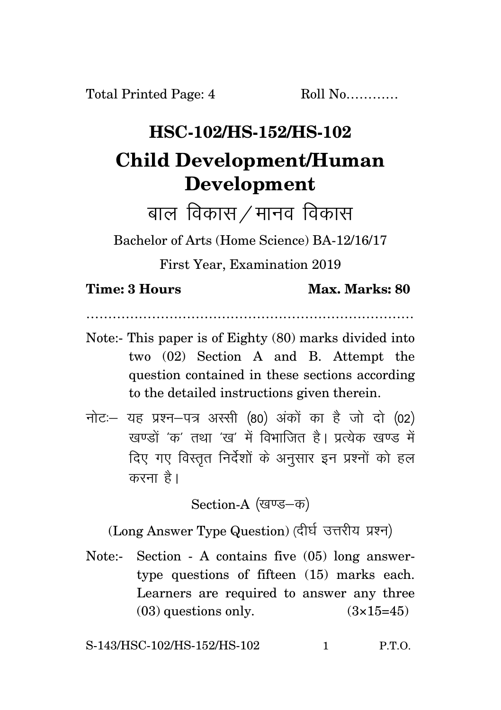## **HSC-102/HS-152/HS-102 Child Development/Human Development**

बाल विकास $/$ मानव विकास

Bachelor of Arts (Home Science) BA-12/16/17

First Year, Examination 2019

## **Time: 3 Hours Max. Marks: 80**

…………………………………………………………………

- Note:- This paper is of Eighty (80) marks divided into two (02) Section A and B. Attempt the question contained in these sections according to the detailed instructions given therein.
- $\vec{\eta}$ नोटः यह प्रश्न-पत्र अस्सी (80) अंकों का है जो दो (02) .<br>रवण्डों *'क'* तथा 'रव' में विभाजित है। प्रत्येक रवण्ड में दिए गए विस्तृत निर्देशों के अनुसार इन प्रश्नों को हल करना $\hat{g}$ ।

Section-A (खण्ड-क)

(Long Answer Type Question) (दीर्घ उत्तरीय प्रश्न)

Note:- Section - A contains five (05) long answertype questions of fifteen (15) marks each. Learners are required to answer any three  $(03)$  questions only.  $(3\times15=45)$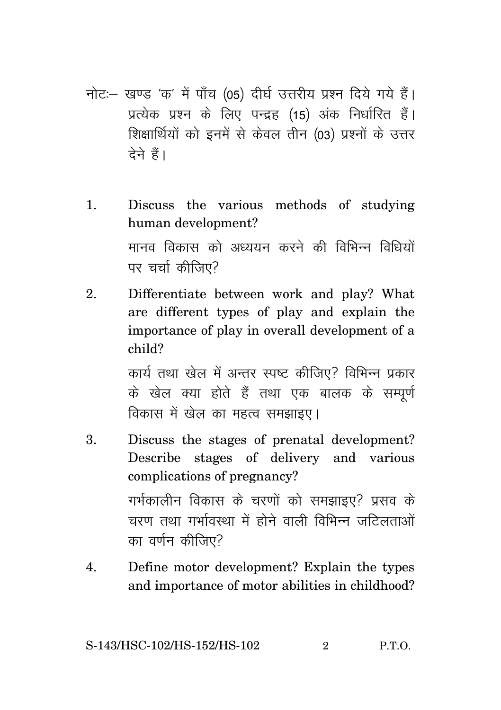- नोट:- खण्ड 'क' में पाँच (05) दीर्घ उत्तरीय प्रश्न दिये गये हैं। प्रत्येक प्रश्न के लिए पन्द्रह (15) अंक निर्धारित हैं। शिक्षार्थियों को इनमें से केवल तीन (03) प्रश्नों के उत्तर टेने हैं।
- Discuss the various methods of studying  $\mathbf{1}$ . human development? मानव विकास को अध्ययन करने की विभिन्न विधियों पर चर्चा कीजिए?
- $\mathcal{D}_{\cdot}$ Differentiate between work and play? What are different types of play and explain the importance of play in overall development of a child?

कार्य तथा खेल में अन्तर स्पष्ट कीजिए? विभिन्न प्रकार के खेल क्या होते हैं तथा एक बालक के सम्पर्ण विकास में खेल का महत्व समझाइए।

- $\overline{3}$ . Discuss the stages of prenatal development? Describe stages of delivery and various complications of pregnancy? गर्भकालीन विकास के चरणों को समझाइए? प्रसव के चरण तथा गर्भावस्था में होने वाली विभिन्न जटिलताओं का वर्णन कीजिए?
- $\overline{4}$ . Define motor development? Explain the types and importance of motor abilities in childhood?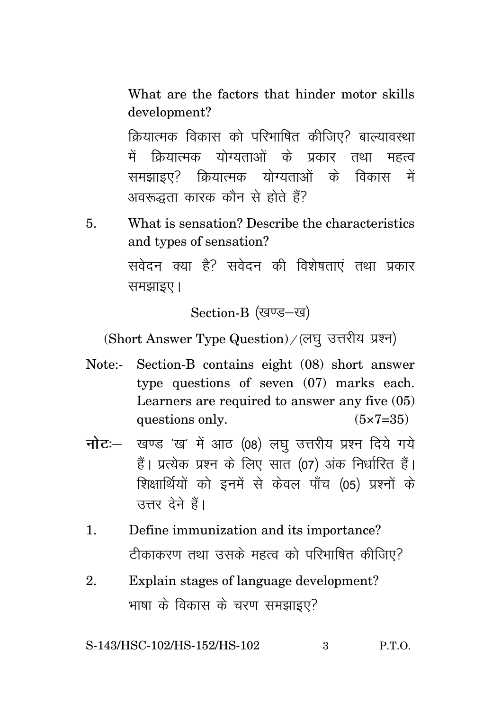What are the factors that hinder motor skills development?

क्रियात्मक विकास को परिभाषित कीजिए? बाल्यावस्था में क्रियात्मक योग्यताओं के प्रकार तथा महत्व समझाइए? क्रियात्मक योग्यताओं के विकास में अवरूद्धता कारक कौन से होते हैं?

5. What is sensation? Describe the characteristics and types of sensation?

> सवेदन क्या है? सवेदन की विशेषताएं तथा प्रकार समझाइए।

> > Section-B (खण्ड-ख)

(Short Answer Type Question) / (लघु उत्तरीय प्रश्न)

- Note:- Section-B contains eight (08) short answer type questions of seven (07) marks each. Learners are required to answer any five (05) questions only.  $(5 \times 7 = 35)$
- **नोट**: खण्ड 'ख' में आठ (08) लघ उत्तरीय प्रश्न दिये गये हैं। प्रत्येक प्रश्न के लिए सात (07) अंक निर्धारित हैं। शिक्षार्थियों को इनमें से केवल पाँच (05) प्रश्नों के उत्तर देने हैं।
- 1. Define immunization and its importance? टीकाकरण तथा उसके महत्व को परिभाषित कीजिए?
- 2. Explain stages of language development? भाषा के विकास के चरण समझाइए?